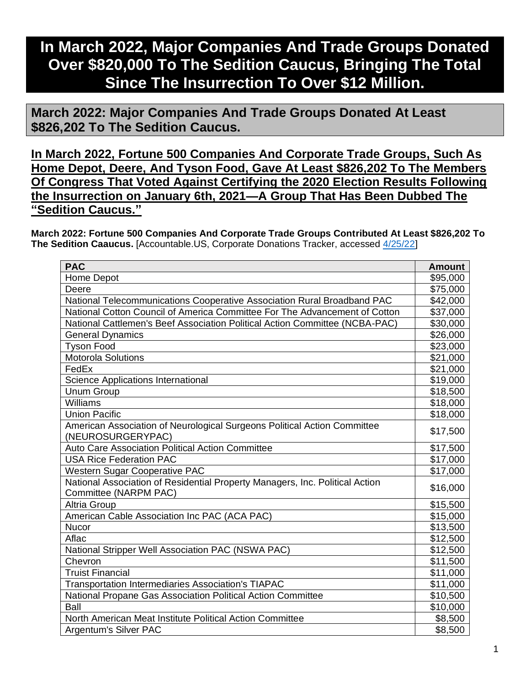## **In March 2022, Major Companies And Trade Groups Donated Over \$820,000 To The Sedition Caucus, Bringing The Total Since The Insurrection To Over \$12 Million.**

**March 2022: Major Companies And Trade Groups Donated At Least \$826,202 To The Sedition Caucus.**

**In March 2022, Fortune 500 Companies And Corporate Trade Groups, Such As Home Depot, Deere, And Tyson Food, Gave At Least \$826,202 To The Members Of Congress That Voted Against Certifying the 2020 Election Results Following the Insurrection on January 6th, 2021—A Group That Has Been Dubbed The "Sedition Caucus."**

**March 2022: Fortune 500 Companies And Corporate Trade Groups Contributed At Least \$826,202 To The Sedition Caaucus.** [Accountable.US, Corporate Donations Tracker, accessed [4/25/22\]](https://www.accountable.us/corporate-donations-tracker/)

| <b>PAC</b>                                                                                            | <b>Amount</b> |
|-------------------------------------------------------------------------------------------------------|---------------|
| Home Depot                                                                                            | \$95,000      |
| Deere                                                                                                 | \$75,000      |
| National Telecommunications Cooperative Association Rural Broadband PAC                               | \$42,000      |
| National Cotton Council of America Committee For The Advancement of Cotton                            | \$37,000      |
| National Cattlemen's Beef Association Political Action Committee (NCBA-PAC)                           | \$30,000      |
| <b>General Dynamics</b>                                                                               | \$26,000      |
| <b>Tyson Food</b>                                                                                     | \$23,000      |
| Motorola Solutions                                                                                    | \$21,000      |
| FedEx                                                                                                 | \$21,000      |
| Science Applications International                                                                    | \$19,000      |
| <b>Unum Group</b>                                                                                     | \$18,500      |
| Williams                                                                                              | \$18,000      |
| <b>Union Pacific</b>                                                                                  | \$18,000      |
| American Association of Neurological Surgeons Political Action Committee<br>(NEUROSURGERYPAC)         | \$17,500      |
| Auto Care Association Political Action Committee                                                      | \$17,500      |
| <b>USA Rice Federation PAC</b>                                                                        | \$17,000      |
| <b>Western Sugar Cooperative PAC</b>                                                                  | \$17,000      |
| National Association of Residential Property Managers, Inc. Political Action<br>Committee (NARPM PAC) | \$16,000      |
| <b>Altria Group</b>                                                                                   | \$15,500      |
| American Cable Association Inc PAC (ACA PAC)                                                          | \$15,000      |
| <b>Nucor</b>                                                                                          | \$13,500      |
| Aflac                                                                                                 | \$12,500      |
| National Stripper Well Association PAC (NSWA PAC)                                                     | \$12,500      |
| Chevron                                                                                               | \$11,500      |
| <b>Truist Financial</b>                                                                               | \$11,000      |
| <b>Transportation Intermediaries Association's TIAPAC</b>                                             | \$11,000      |
| National Propane Gas Association Political Action Committee                                           | \$10,500      |
| Ball                                                                                                  | \$10,000      |
| North American Meat Institute Political Action Committee                                              | \$8,500       |
| Argentum's Silver PAC                                                                                 | \$8,500       |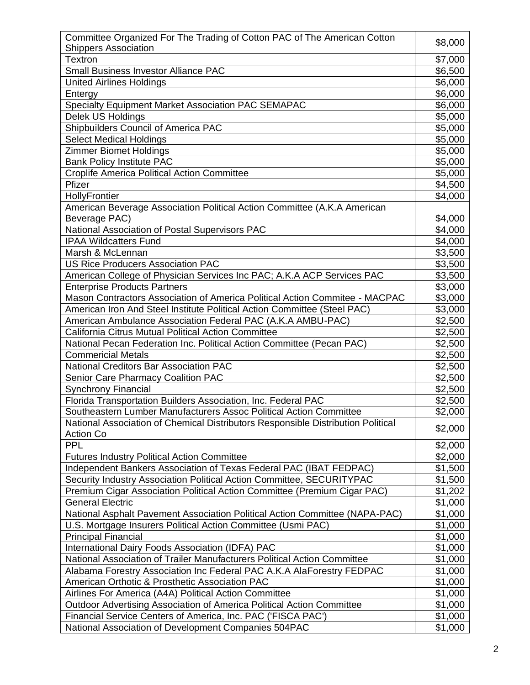| Committee Organized For The Trading of Cotton PAC of The American Cotton         |         |
|----------------------------------------------------------------------------------|---------|
| <b>Shippers Association</b>                                                      | \$8,000 |
| <b>Textron</b>                                                                   | \$7,000 |
| Small Business Investor Alliance PAC                                             | \$6,500 |
| <b>United Airlines Holdings</b>                                                  | \$6,000 |
| Entergy                                                                          | \$6,000 |
| Specialty Equipment Market Association PAC SEMAPAC                               | \$6,000 |
| Delek US Holdings                                                                | \$5,000 |
| Shipbuilders Council of America PAC                                              | \$5,000 |
| <b>Select Medical Holdings</b>                                                   | \$5,000 |
| <b>Zimmer Biomet Holdings</b>                                                    | \$5,000 |
| <b>Bank Policy Institute PAC</b>                                                 | \$5,000 |
| <b>Croplife America Political Action Committee</b>                               | \$5,000 |
| Pfizer                                                                           | \$4,500 |
| HollyFrontier                                                                    | \$4,000 |
| American Beverage Association Political Action Committee (A.K.A American         |         |
| Beverage PAC)                                                                    | \$4,000 |
| National Association of Postal Supervisors PAC                                   | \$4,000 |
| <b>IPAA Wildcatters Fund</b>                                                     | \$4,000 |
| Marsh & McLennan                                                                 | \$3,500 |
| <b>US Rice Producers Association PAC</b>                                         | \$3,500 |
| American College of Physician Services Inc PAC; A.K.A ACP Services PAC           | \$3,500 |
| <b>Enterprise Products Partners</b>                                              | \$3,000 |
| Mason Contractors Association of America Political Action Commitee - MACPAC      | \$3,000 |
| American Iron And Steel Institute Political Action Committee (Steel PAC)         | \$3,000 |
| American Ambulance Association Federal PAC (A.K.A AMBU-PAC)                      | \$2,500 |
| California Citrus Mutual Political Action Committee                              | \$2,500 |
| National Pecan Federation Inc. Political Action Committee (Pecan PAC)            | \$2,500 |
| <b>Commericial Metals</b>                                                        | \$2,500 |
| National Creditors Bar Association PAC                                           | \$2,500 |
| <b>Senior Care Pharmacy Coalition PAC</b>                                        | \$2,500 |
| <b>Synchrony Financial</b>                                                       | \$2,500 |
| Florida Transportation Builders Association, Inc. Federal PAC                    | \$2,500 |
| Southeastern Lumber Manufacturers Assoc Political Action Committee               | \$2,000 |
| National Association of Chemical Distributors Responsible Distribution Political |         |
| <b>Action Co</b>                                                                 | \$2,000 |
| <b>PPL</b>                                                                       | \$2,000 |
| <b>Futures Industry Political Action Committee</b>                               | \$2,000 |
| Independent Bankers Association of Texas Federal PAC (IBAT FEDPAC)               | \$1,500 |
| Security Industry Association Political Action Committee, SECURITYPAC            | \$1,500 |
| Premium Cigar Association Political Action Committee (Premium Cigar PAC)         | \$1,202 |
| <b>General Electric</b>                                                          | \$1,000 |
| National Asphalt Pavement Association Political Action Committee (NAPA-PAC)      | \$1,000 |
| U.S. Mortgage Insurers Political Action Committee (Usmi PAC)                     | \$1,000 |
| <b>Principal Financial</b>                                                       | \$1,000 |
| International Dairy Foods Association (IDFA) PAC                                 | \$1,000 |
| National Association of Trailer Manufacturers Political Action Committee         | \$1,000 |
| Alabama Forestry Association Inc Federal PAC A.K.A AlaForestry FEDPAC            | \$1,000 |
| American Orthotic & Prosthetic Association PAC                                   | \$1,000 |
| Airlines For America (A4A) Political Action Committee                            | \$1,000 |
| Outdoor Advertising Association of America Political Action Committee            | \$1,000 |
| Financial Service Centers of America, Inc. PAC ('FISCA PAC')                     | \$1,000 |
| National Association of Development Companies 504PAC                             | \$1,000 |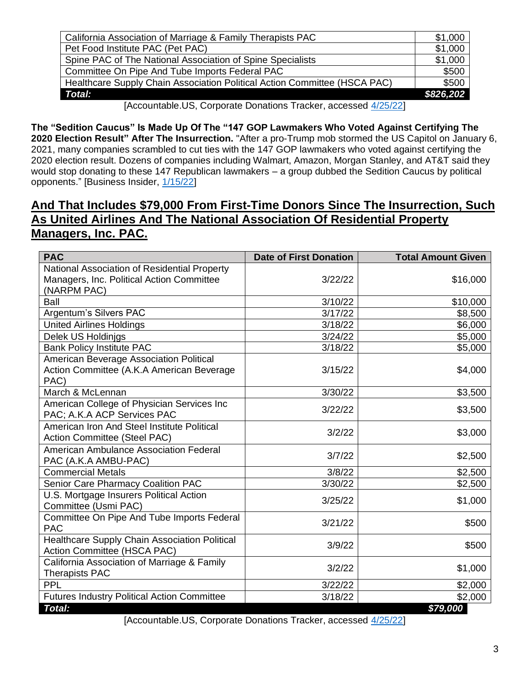| California Association of Marriage & Family Therapists PAC                | \$1,000   |
|---------------------------------------------------------------------------|-----------|
| Pet Food Institute PAC (Pet PAC)                                          | \$1,000   |
| Spine PAC of The National Association of Spine Specialists                | \$1,000   |
| Committee On Pipe And Tube Imports Federal PAC                            | \$500     |
| Healthcare Supply Chain Association Political Action Committee (HSCA PAC) | \$500     |
| <b>Total:</b>                                                             | \$826.202 |
| $\sim$ $\sim$ $\sim$ $\sim$ $\sim$<br>. .                                 |           |

[Accountable.US, Corporate Donations Tracker, accessed [4/25/22\]](https://www.accountable.us/corporate-donations-tracker/)

**The "Sedition Caucus" Is Made Up Of The "147 GOP Lawmakers Who Voted Against Certifying The 2020 Election Result" After The Insurrection.** "After a pro-Trump mob stormed the US Capitol on January 6, 2021, many companies scrambled to cut ties with the 147 GOP lawmakers who voted against certifying the 2020 election result. Dozens of companies including Walmart, Amazon, Morgan Stanley, and AT&T said they would stop donating to these 147 Republican lawmakers – a group dubbed the Sedition Caucus by political opponents." [Business Insider, [1/15/22\]](https://www.businessinsider.com/sedition-caucus-election-objectors-corporate-donations-capitol-siege-trump-biden-2022-1)

## **And That Includes \$79,000 From First-Time Donors Since The Insurrection, Such As United Airlines And The National Association Of Residential Property Managers, Inc. PAC.**

| <b>PAC</b>                                         | <b>Date of First Donation</b> | <b>Total Amount Given</b> |
|----------------------------------------------------|-------------------------------|---------------------------|
| National Association of Residential Property       |                               |                           |
| Managers, Inc. Political Action Committee          | 3/22/22                       | \$16,000                  |
| (NARPM PAC)                                        |                               |                           |
| Ball                                               | 3/10/22                       | \$10,000                  |
| Argentum's Silvers PAC                             | 3/17/22                       | \$8,500                   |
| United Airlines Holdings                           | 3/18/22                       | \$6,000                   |
| Delek US Holdinjgs                                 | 3/24/22                       | \$5,000                   |
| <b>Bank Policy Institute PAC</b>                   | 3/18/22                       | \$5,000                   |
| American Beverage Association Political            |                               |                           |
| Action Committee (A.K.A American Beverage          | 3/15/22                       | \$4,000                   |
| PAC)                                               |                               |                           |
| March & McLennan                                   | 3/30/22                       | \$3,500                   |
| American College of Physician Services Inc         | 3/22/22                       | \$3,500                   |
| PAC; A.K.A ACP Services PAC                        |                               |                           |
| American Iron And Steel Institute Political        | 3/2/22                        | \$3,000                   |
| Action Committee (Steel PAC)                       |                               |                           |
| American Ambulance Association Federal             | 3/7/22                        | \$2,500                   |
| PAC (A.K.A AMBU-PAC)                               |                               |                           |
| <b>Commercial Metals</b>                           | 3/8/22                        | \$2,500                   |
| Senior Care Pharmacy Coalition PAC                 | 3/30/22                       | \$2,500                   |
| U.S. Mortgage Insurers Political Action            | 3/25/22                       | \$1,000                   |
| Committee (Usmi PAC)                               |                               |                           |
| Committee On Pipe And Tube Imports Federal         | 3/21/22                       | \$500                     |
| <b>PAC</b>                                         |                               |                           |
| Healthcare Supply Chain Association Political      | 3/9/22                        | \$500                     |
| Action Committee (HSCA PAC)                        |                               |                           |
| California Association of Marriage & Family        | 3/2/22                        | \$1,000                   |
| <b>Therapists PAC</b>                              |                               |                           |
| <b>PPL</b>                                         | 3/22/22                       | \$2,000                   |
| <b>Futures Industry Political Action Committee</b> | 3/18/22                       | \$2,000                   |
| Total:                                             |                               | \$79,000                  |

[Accountable.US, Corporate Donations Tracker, accessed [4/25/22\]](https://www.accountable.us/corporate-donations-tracker/)